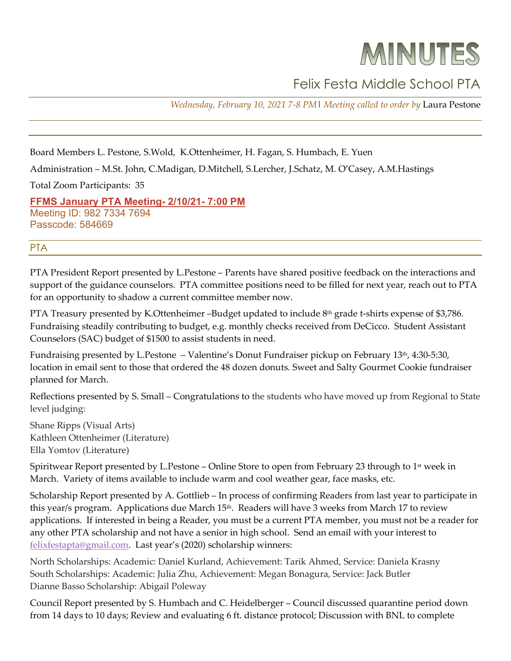# MINUTES

## Felix Festa Middle School PTA

*Wednesday, February 10, 2021 7-8 PM*| *Meeting called to order by* Laura Pestone

Board Members L. Pestone, S.Wold, K.Ottenheimer, H. Fagan, S. Humbach, E. Yuen

Administration – M.St. John, C.Madigan, D.Mitchell, S.Lercher, J.Schatz, M. O'Casey, A.M.Hastings

Total Zoom Participants: 35

**[FFMS January](http://r20.rs6.net/tn.jsp?f=001MKIPy9d8ZvhlO7VcYDZFxP3fne-x0Nt-EzBYC2IqlMR_obq8wIoOaOuvsr4sz7fTJytt6FZAuYxGrZtp210m_uPjZEzZie-Q0sqeMfnpNdyCjMLxitSKzJFVqwYFXnsZybozYZQ35vhw0yYvlOVfr-d-CoKquxZnlEnojYsuQw5mbjua535oKYSvsrQAYmTdyTP_49JGvlOOo7dW4tsuEQ==&c=l70v4S2n4MSUjHPfuZKk1GadBJoqoRFLcH43WmiKiCHsdr7UQ_SE0A==&ch=sefARsSLxhdBYkb1G-gWrh96_jsSWEmwTO-ujWPWmLLCra6pL5Vdmw==) PTA Meeting- 2/10/21- 7:00 PM** Meeting ID: 982 7334 7694 Passcode: 584669

### PTA

PTA President Report presented by L.Pestone – Parents have shared positive feedback on the interactions and support of the guidance counselors. PTA committee positions need to be filled for next year, reach out to PTA for an opportunity to shadow a current committee member now.

PTA Treasury presented by K.Ottenheimer –Budget updated to include 8<sup>th</sup> grade t-shirts expense of \$3,786. Fundraising steadily contributing to budget, e.g. monthly checks received from DeCicco. Student Assistant Counselors (SAC) budget of \$1500 to assist students in need.

Fundraising presented by L.Pestone – Valentine's Donut Fundraiser pickup on February 13<sup>th</sup>, 4:30-5:30, location in email sent to those that ordered the 48 dozen donuts. Sweet and Salty Gourmet Cookie fundraiser planned for March.

Reflections presented by S. Small – Congratulations to the students who have moved up from Regional to State level judging:

Shane Ripps (Visual Arts) Kathleen Ottenheimer (Literature) Ella Yomtov (Literature)

Spiritwear Report presented by L.Pestone – Online Store to open from February 23 through to  $1<sup>st</sup>$  week in March. Variety of items available to include warm and cool weather gear, face masks, etc.

Scholarship Report presented by A. Gottlieb – In process of confirming Readers from last year to participate in this year/s program. Applications due March 15<sup>th</sup>. Readers will have 3 weeks from March 17 to review applications. If interested in being a Reader, you must be a current PTA member, you must not be a reader for any other PTA scholarship and not have a senior in high school. Send an email with your interest to [felixfestapta@gmail.com.](mailto:felixfestapta@gmail.com) Last year's (2020) scholarship winners:

North Scholarships: Academic: Daniel Kurland, Achievement: Tarik Ahmed, Service: Daniela Krasny South Scholarships: Academic: Julia Zhu, Achievement: Megan Bonagura, Service: Jack Butler Dianne Basso Scholarship: Abigail Poleway

Council Report presented by S. Humbach and C. Heidelberger – Council discussed quarantine period down from 14 days to 10 days; Review and evaluating 6 ft. distance protocol; Discussion with BNL to complete